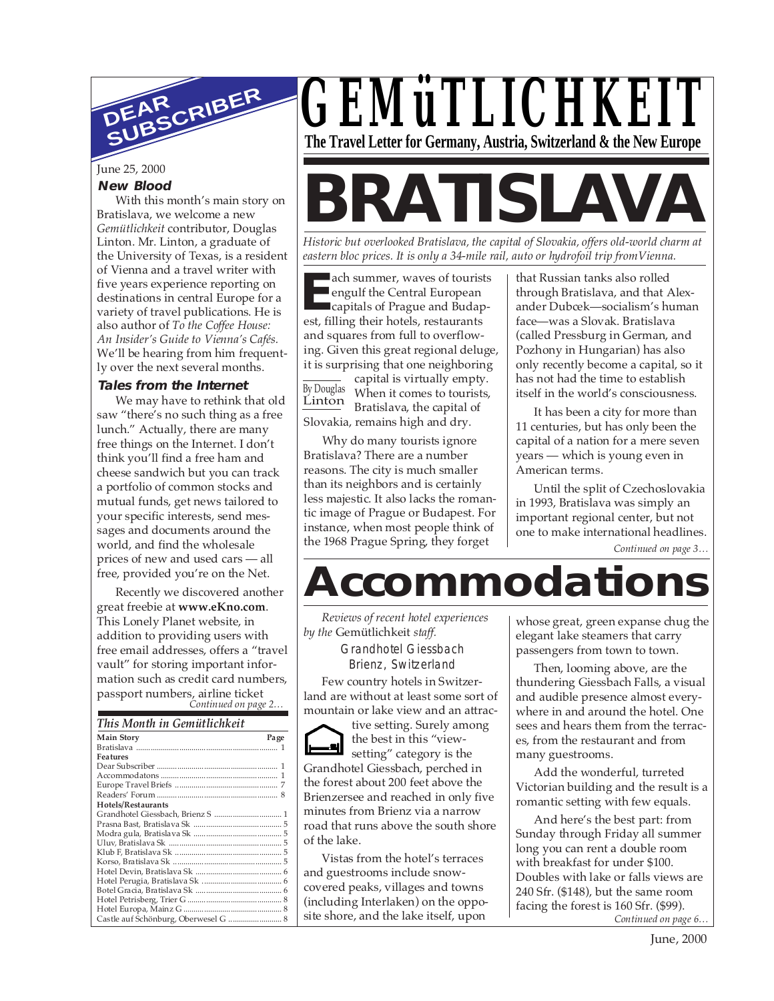

June 25, 2000

#### **New Blood**

With this month's main story on Bratislava, we welcome a new *Gemütlichkeit* contributor, Douglas Linton. Mr. Linton, a graduate of the University of Texas, is a resident of Vienna and a travel writer with five years experience reporting on destinations in central Europe for a variety of travel publications. He is also author of *To the Coffee House: An Insider's Guide to Vienna's Cafés.* We'll be hearing from him frequently over the next several months.

#### **Tales from the Internet**

We may have to rethink that old saw "there's no such thing as a free lunch." Actually, there are many free things on the Internet. I don't think you'll find a free ham and cheese sandwich but you can track a portfolio of common stocks and mutual funds, get news tailored to your specific interests, send messages and documents around the world, and find the wholesale prices of new and used cars — all free, provided you're on the Net.

passport numbers, airline ticket<br>Continued on page 2... Recently we discovered another great freebie at **www.eKno.com**. This Lonely Planet website, in addition to providing users with free email addresses, offers a "travel vault" for storing important information such as credit card numbers,

| This Month in Gemütlichkeit |
|-----------------------------|
|                             |

| <b>Main Story</b>                    | Page |
|--------------------------------------|------|
|                                      |      |
| Features                             |      |
|                                      |      |
|                                      |      |
|                                      |      |
|                                      |      |
| Hotels/Restaurants                   |      |
|                                      |      |
|                                      |      |
|                                      |      |
|                                      |      |
|                                      |      |
|                                      |      |
|                                      |      |
|                                      |      |
|                                      |      |
|                                      |      |
|                                      |      |
| Castle auf Schönburg, Oberwesel G  8 |      |



# **BRATISLAVA**

*Historic but overlooked Bratislava, the capital of Slovakia, offers old-world charm at eastern bloc prices. It is only a 34-mile rail, auto or hydrofoil trip fromVienna.*

**EE** engulf the Central European capitals of Prague and Budan est, filling their hotels, restaurants ach summer, waves of tourists engulf the Central European capitals of Prague and Budapand squares from full to overflowing. Given this great regional deluge, it is surprising that one neighboring

By Douglas Linton

capital is virtually empty. When it comes to tourists, Bratislava, the capital of Slovakia, remains high and dry.

Why do many tourists ignore Bratislava? There are a number reasons. The city is much smaller than its neighbors and is certainly less majestic. It also lacks the romantic image of Prague or Budapest. For instance, when most people think of the 1968 Prague Spring, they forget

that Russian tanks also rolled through Bratislava, and that Alexander Dubcek—socialism's human face—was a Slovak. Bratislava (called Pressburg in German, and Pozhony in Hungarian) has also only recently become a capital, so it has not had the time to establish itself in the world's consciousness.

It has been a city for more than 11 centuries, but has only been the capital of a nation for a mere seven years — which is young even in American terms.

Until the split of Czechoslovakia in 1993, Bratislava was simply an important regional center, but not one to make international headlines.

*Continued on page 3…*

## **Accommodations**

*Reviews of recent hotel experiences by the* Gemütlichkeit *staff.*

> Grandhotel Giessbach Brienz, Switzerland

Few country hotels in Switzerland are without at least some sort of mountain or lake view and an attrac-

tive setting. Surely among the best in this "viewsetting" category is the Grandhotel Giessbach, perched in the forest about 200 feet above the Brienzersee and reached in only five minutes from Brienz via a narrow road that runs above the south shore of the lake.

Vistas from the hotel's terraces and guestrooms include snowcovered peaks, villages and towns (including Interlaken) on the opposite shore, and the lake itself, upon

whose great, green expanse chug the elegant lake steamers that carry passengers from town to town.

Then, looming above, are the thundering Giessbach Falls, a visual and audible presence almost everywhere in and around the hotel. One sees and hears them from the terraces, from the restaurant and from many guestrooms.

Add the wonderful, turreted Victorian building and the result is a romantic setting with few equals.

*Continued on page 6…* And here's the best part: from Sunday through Friday all summer long you can rent a double room with breakfast for under \$100. Doubles with lake or falls views are 240 Sfr. (\$148), but the same room facing the forest is 160 Sfr. (\$99).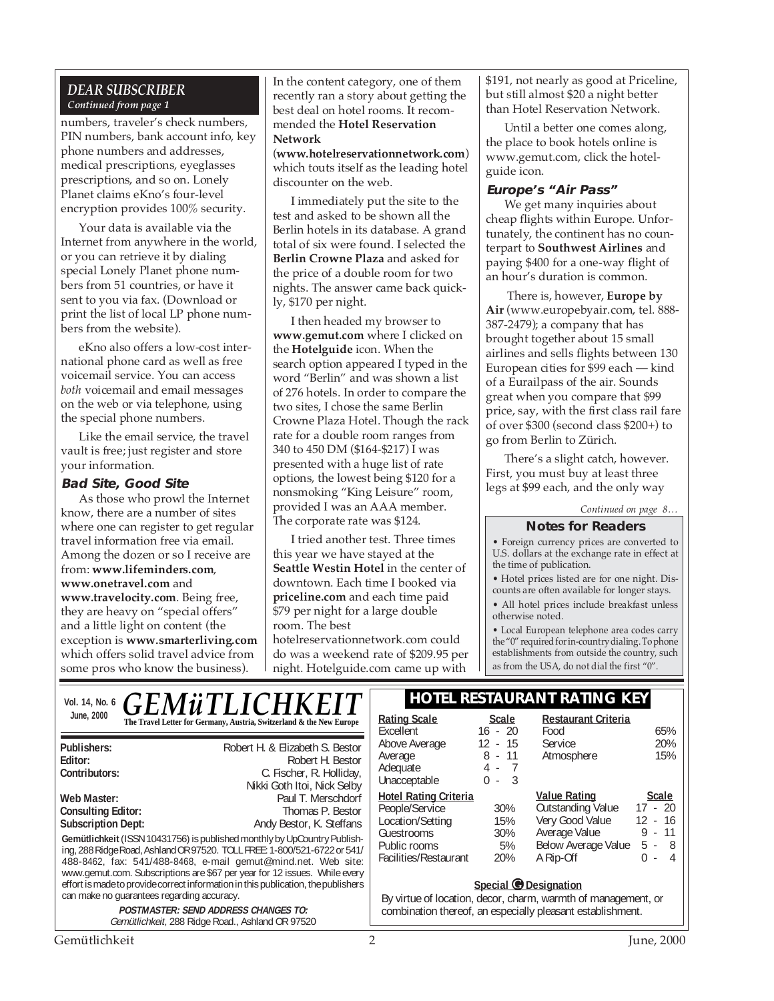#### *DEAR SUBSCRIBER Continued from page 1*

numbers, traveler's check numbers, PIN numbers, bank account info, key phone numbers and addresses, medical prescriptions, eyeglasses prescriptions, and so on. Lonely Planet claims eKno's four-level encryption provides 100% security.

Your data is available via the Internet from anywhere in the world, or you can retrieve it by dialing special Lonely Planet phone numbers from 51 countries, or have it sent to you via fax. (Download or print the list of local LP phone numbers from the website).

eKno also offers a low-cost international phone card as well as free voicemail service. You can access *both* voicemail and email messages on the web or via telephone, using the special phone numbers.

Like the email service, the travel vault is free; just register and store your information.

#### **Bad Site, Good Site**

As those who prowl the Internet know, there are a number of sites where one can register to get regular travel information free via email. Among the dozen or so I receive are from: **www.lifeminders.com**, **www.onetravel.com** and **www.travelocity.com**. Being free, they are heavy on "special offers" and a little light on content (the exception is **www.smarterliving.com** which offers solid travel advice from some pros who know the business).

In the content category, one of them recently ran a story about getting the best deal on hotel rooms. It recommended the **Hotel Reservation Network**

(**www.hotelreservationnetwork.com**) which touts itself as the leading hotel discounter on the web.

I immediately put the site to the test and asked to be shown all the Berlin hotels in its database. A grand total of six were found. I selected the **Berlin Crowne Plaza** and asked for the price of a double room for two nights. The answer came back quickly, \$170 per night.

I then headed my browser to **www.gemut.com** where I clicked on the **Hotelguide** icon. When the search option appeared I typed in the word "Berlin" and was shown a list of 276 hotels. In order to compare the two sites, I chose the same Berlin Crowne Plaza Hotel. Though the rack rate for a double room ranges from 340 to 450 DM (\$164-\$217) I was presented with a huge list of rate options, the lowest being \$120 for a nonsmoking "King Leisure" room, provided I was an AAA member. The corporate rate was \$124.

I tried another test. Three times this year we have stayed at the **Seattle Westin Hotel** in the center of downtown. Each time I booked via **priceline.com** and each time paid \$79 per night for a large double room. The best

hotelreservationnetwork.com could do was a weekend rate of \$209.95 per night. Hotelguide.com came up with

\$191, not nearly as good at Priceline, but still almost \$20 a night better than Hotel Reservation Network.

Until a better one comes along, the place to book hotels online is www.gemut.com, click the hotelguide icon.

#### **Europe's "Air Pass"**

We get many inquiries about cheap flights within Europe. Unfortunately, the continent has no counterpart to **Southwest Airlines** and paying \$400 for a one-way flight of an hour's duration is common.

 There is, however, **Europe by Air** (www.europebyair.com, tel. 888- 387-2479); a company that has brought together about 15 small airlines and sells flights between 130 European cities for \$99 each — kind of a Eurailpass of the air. Sounds great when you compare that \$99 price, say, with the first class rail fare of over \$300 (second class \$200+) to go from Berlin to Zürich.

There's a slight catch, however. First, you must buy at least three legs at \$99 each, and the only way

#### *Continued on page 8…*

#### **Notes for Readers**

• Foreign currency prices are converted to U.S. dollars at the exchange rate in effect at the time of publication.

• Hotel prices listed are for one night. Discounts are often available for longer stays.

• All hotel prices include breakfast unless otherwise noted.

• Local European telephone area codes carry the "0" required for in-country dialing. To phone establishments from outside the country, such as from the USA, do not dial the first "0".

**Restaurant Criteria**

### Vol. 14, No. 6. C. F. M **ii. T. J. I. C. H. K. F. F. T. H. HOTEL RESTAURANT RATING KEY** bl. 14, No. 6  $GEMWITLICHKET$ <br>June, 2000  $R_{\text{The Travel Left for Germany, Australia, Switzerland & the New Europe}}$  Rating Scale Scale

|                                                                                                                                                                                                                                                                                                                                                                                                                                       | The Travel Letter for Germany, Austria, Switzerland & the New Europe                                           |  |  |
|---------------------------------------------------------------------------------------------------------------------------------------------------------------------------------------------------------------------------------------------------------------------------------------------------------------------------------------------------------------------------------------------------------------------------------------|----------------------------------------------------------------------------------------------------------------|--|--|
| Publishers:<br>Editor:<br>Contributors:                                                                                                                                                                                                                                                                                                                                                                                               | Robert H. & Elizabeth S. Bestor<br>Robert H. Bestor<br>C. Fischer, R. Holliday,<br>Nikki Goth Itoi, Nick Selby |  |  |
| Web Master:<br><b>Consulting Editor:</b><br><b>Subscription Dept:</b>                                                                                                                                                                                                                                                                                                                                                                 | Paul T. Merschdorf<br>Thomas P. Bestor<br>Andy Bestor, K. Steffans                                             |  |  |
| Gemütlichkeit (ISSN 10431756) is published monthly by UpCountry Publish-<br>ing, 288 Ridge Road, Ashland OR 97520. TOLL FREE: 1-800/521-6722 or 541/<br>488-8462, fax: 541/488-8468, e-mail gemut@mind.net. Web site:<br>www.gemut.com. Subscriptions are \$67 per year for 12 issues. While every<br>effort is made to provide correct information in this publication, the publishers<br>can make no quarantees regarding accuracy. |                                                                                                                |  |  |
|                                                                                                                                                                                                                                                                                                                                                                                                                                       | <b>POSTMASTER: SEND ADDRESS CHANGES TO:</b><br>Gemütlichkeit, 288 Ridge Road., Ashland OR 97520                |  |  |

| Excellent                    | $16 - 20$  | Food                     | 65%                   |
|------------------------------|------------|--------------------------|-----------------------|
| Above Average                | $12 - 15$  | Service                  | 20%                   |
| Average                      | $8 - 11$   | Atmosphere               | 15%                   |
| Adequate                     | $4 - 7$    |                          |                       |
| Unacceptable                 | - 3<br>0 - |                          |                       |
| <b>Hotel Rating Criteria</b> |            | <b>Value Rating</b>      | <b>Scale</b>          |
| People/Service               | 30%        | <b>Outstanding Value</b> | $17 - 20$             |
| Location/Setting             | 15%        | Very Good Value          | $12 - 16$             |
| Guestrooms                   | 30%        | Average Value            | $9 - 11$              |
| Public rooms                 | 5%         | Below Average Value      | 5 -<br>- 8            |
| Facilities/Restaurant        | 20%        | A Rip-Off                | 0 -<br>$\overline{4}$ |
|                              |            |                          |                       |

#### **Special © Designation**

By virtue of location, decor, charm, warmth of management, or combination thereof, an especially pleasant establishment.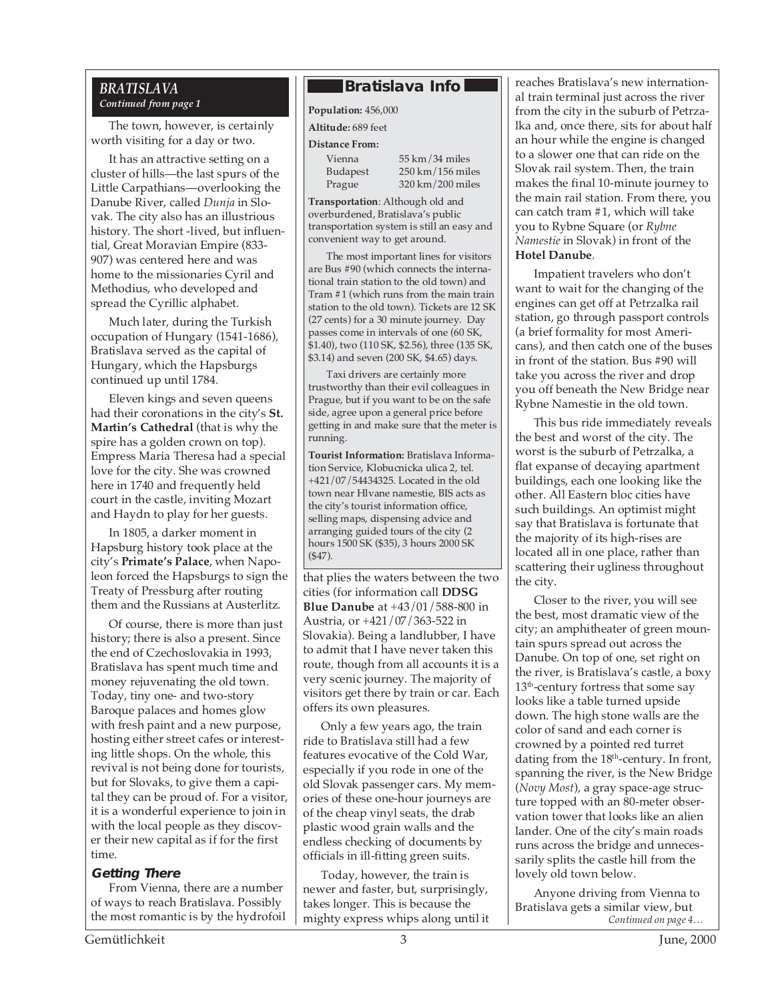#### *BRATISLAVA Continued from page 1*

The town, however, is certainly worth visiting for a day or two.

It has an attractive setting on a cluster of hills—the last spurs of the Little Carpathians—overlooking the Danube River, called *Dunja* in Slovak. The city also has an illustrious history. The short -lived, but influential, Great Moravian Empire (833- 907) was centered here and was home to the missionaries Cyril and Methodius, who developed and spread the Cyrillic alphabet.

Much later, during the Turkish occupation of Hungary (1541-1686), Bratislava served as the capital of Hungary, which the Hapsburgs continued up until 1784.

Eleven kings and seven queens had their coronations in the city's **St. Martin's Cathedral** (that is why the spire has a golden crown on top). Empress Maria Theresa had a special love for the city. She was crowned here in 1740 and frequently held court in the castle, inviting Mozart and Haydn to play for her guests.

In 1805, a darker moment in Hapsburg history took place at the city's **Primate's Palace**, when Napoleon forced the Hapsburgs to sign the Treaty of Pressburg after routing them and the Russians at Austerlitz.

Of course, there is more than just history; there is also a present. Since the end of Czechoslovakia in 1993, Bratislava has spent much time and money rejuvenating the old town. Today, tiny one- and two-story Baroque palaces and homes glow with fresh paint and a new purpose, hosting either street cafes or interesting little shops. On the whole, this revival is not being done for tourists, but for Slovaks, to give them a capital they can be proud of. For a visitor, it is a wonderful experience to join in with the local people as they discover their new capital as if for the first time.

#### **Getting There**

From Vienna, there are a number of ways to reach Bratislava. Possibly the most romantic is by the hydrofoil

#### **Bratislava Info**

**Population:** 456,000

**Altitude:** 689 feet

#### **Distance From:**

Vienna 55 km/34 miles Budapest 250 km/156 miles Prague 320 km/200 miles

**Transportation**: Although old and overburdened, Bratislava's public transportation system is still an easy and convenient way to get around.

The most important lines for visitors are Bus #90 (which connects the international train station to the old town) and Tram #1 (which runs from the main train station to the old town). Tickets are 12 SK (27 cents) for a 30 minute journey. Day passes come in intervals of one (60 SK, \$1.40), two (110 SK, \$2.56), three (135 SK, \$3.14) and seven (200 SK, \$4.65) days.

Taxi drivers are certainly more trustworthy than their evil colleagues in Prague, but if you want to be on the safe side, agree upon a general price before getting in and make sure that the meter is running.

**Tourist Information:** Bratislava Information Service, Klobucnicka ulica 2, tel. +421/07/54434325. Located in the old town near Hlvane namestie, BIS acts as the city's tourist information office, selling maps, dispensing advice and arranging guided tours of the city (2 hours 1500 SK (\$35), 3 hours 2000 SK (\$47).

that plies the waters between the two cities (for information call **DDSG Blue Danube** at +43/01/588-800 in Austria, or +421/07/363-522 in Slovakia). Being a landlubber, I have to admit that I have never taken this route, though from all accounts it is a very scenic journey. The majority of visitors get there by train or car. Each offers its own pleasures.

Only a few years ago, the train ride to Bratislava still had a few features evocative of the Cold War, especially if you rode in one of the old Slovak passenger cars. My memories of these one-hour journeys are of the cheap vinyl seats, the drab plastic wood grain walls and the endless checking of documents by officials in ill-fitting green suits.

Today, however, the train is newer and faster, but, surprisingly, takes longer. This is because the mighty express whips along until it reaches Bratislava's new international train terminal just across the river from the city in the suburb of Petrzalka and, once there, sits for about half an hour while the engine is changed to a slower one that can ride on the Slovak rail system. Then, the train makes the final 10-minute journey to the main rail station. From there, you can catch tram #1, which will take you to Rybne Square (or *Rybne Namestie* in Slovak) in front of the **Hotel Danube**.

Impatient travelers who don't want to wait for the changing of the engines can get off at Petrzalka rail station, go through passport controls (a brief formality for most Americans), and then catch one of the buses in front of the station. Bus #90 will take you across the river and drop you off beneath the New Bridge near Rybne Namestie in the old town.

This bus ride immediately reveals the best and worst of the city. The worst is the suburb of Petrzalka, a flat expanse of decaying apartment buildings, each one looking like the other. All Eastern bloc cities have such buildings. An optimist might say that Bratislava is fortunate that the majority of its high-rises are located all in one place, rather than scattering their ugliness throughout the city.

Closer to the river, you will see the best, most dramatic view of the city; an amphitheater of green mountain spurs spread out across the Danube. On top of one, set right on the river, is Bratislava's castle, a boxy 13<sup>th</sup>-century fortress that some say looks like a table turned upside down. The high stone walls are the color of sand and each corner is crowned by a pointed red turret dating from the  $18<sup>th</sup>$ -century. In front, spanning the river, is the New Bridge (*Novy Most*), a gray space-age structure topped with an 80-meter observation tower that looks like an alien lander. One of the city's main roads runs across the bridge and unnecessarily splits the castle hill from the lovely old town below.

*Continued on page 4…* Anyone driving from Vienna to Bratislava gets a similar view, but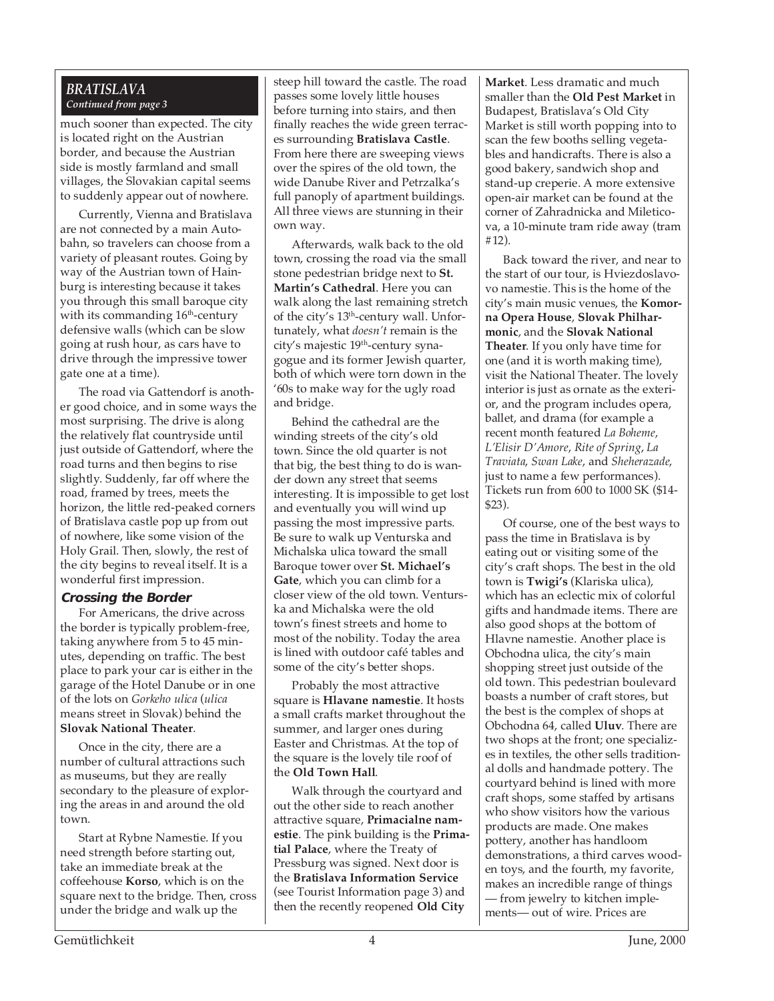#### *BRATISLAVA Continued from page 3*

much sooner than expected. The city is located right on the Austrian border, and because the Austrian side is mostly farmland and small villages, the Slovakian capital seems to suddenly appear out of nowhere.

Currently, Vienna and Bratislava are not connected by a main Autobahn, so travelers can choose from a variety of pleasant routes. Going by way of the Austrian town of Hainburg is interesting because it takes you through this small baroque city with its commanding 16<sup>th</sup>-century defensive walls (which can be slow going at rush hour, as cars have to drive through the impressive tower gate one at a time).

The road via Gattendorf is another good choice, and in some ways the most surprising. The drive is along the relatively flat countryside until just outside of Gattendorf, where the road turns and then begins to rise slightly. Suddenly, far off where the road, framed by trees, meets the horizon, the little red-peaked corners of Bratislava castle pop up from out of nowhere, like some vision of the Holy Grail. Then, slowly, the rest of the city begins to reveal itself. It is a wonderful first impression.

#### **Crossing the Border**

For Americans, the drive across the border is typically problem-free, taking anywhere from 5 to 45 minutes, depending on traffic. The best place to park your car is either in the garage of the Hotel Danube or in one of the lots on *Gorkeho ulica* (*ulica* means street in Slovak) behind the **Slovak National Theater**.

Once in the city, there are a number of cultural attractions such as museums, but they are really secondary to the pleasure of exploring the areas in and around the old town.

Start at Rybne Namestie. If you need strength before starting out, take an immediate break at the coffeehouse **Korso**, which is on the square next to the bridge. Then, cross under the bridge and walk up the

passes some lovely little houses steep hill toward the castle. The road before turning into stairs, and then finally reaches the wide green terraces surrounding **Bratislava Castle**. From here there are sweeping views over the spires of the old town, the wide Danube River and Petrzalka's full panoply of apartment buildings. All three views are stunning in their own way.

Afterwards, walk back to the old town, crossing the road via the small stone pedestrian bridge next to **St. Martin's Cathedral**. Here you can walk along the last remaining stretch of the city's 13<sup>th</sup>-century wall. Unfortunately, what *doesn't* remain is the city's majestic 19<sup>th</sup>-century synagogue and its former Jewish quarter, both of which were torn down in the '60s to make way for the ugly road and bridge.

Behind the cathedral are the winding streets of the city's old town. Since the old quarter is not that big, the best thing to do is wander down any street that seems interesting. It is impossible to get lost and eventually you will wind up passing the most impressive parts. Be sure to walk up Venturska and Michalska ulica toward the small Baroque tower over **St. Michael's Gate**, which you can climb for a closer view of the old town. Venturska and Michalska were the old town's finest streets and home to most of the nobility. Today the area is lined with outdoor café tables and some of the city's better shops.

Probably the most attractive square is **Hlavane namestie**. It hosts a small crafts market throughout the summer, and larger ones during Easter and Christmas. At the top of the square is the lovely tile roof of the **Old Town Hall**.

Walk through the courtyard and out the other side to reach another attractive square, **Primacialne namestie**. The pink building is the **Primatial Palace**, where the Treaty of Pressburg was signed. Next door is the **Bratislava Information Service** (see Tourist Information page 3) and then the recently reopened **Old City**

**Market**. Less dramatic and much smaller than the **Old Pest Market** in Budapest, Bratislava's Old City Market is still worth popping into to scan the few booths selling vegetables and handicrafts. There is also a good bakery, sandwich shop and stand-up creperie. A more extensive open-air market can be found at the corner of Zahradnicka and Mileticova, a 10-minute tram ride away (tram #12).

Back toward the river, and near to the start of our tour, is Hviezdoslavovo namestie. This is the home of the city's main music venues, the **Komorna Opera House**, **Slovak Philharmonic**, and the **Slovak National Theater**. If you only have time for one (and it is worth making time), visit the National Theater. The lovely interior is just as ornate as the exterior, and the program includes opera, ballet, and drama (for example a recent month featured *La Boheme*, *L'Elisir D'Amore*, *Rite of Spring*, *La Traviata*, *Swan Lake*, and *Sheherazade*, just to name a few performances). Tickets run from 600 to 1000 SK (\$14- \$23).

Of course, one of the best ways to pass the time in Bratislava is by eating out or visiting some of the city's craft shops. The best in the old town is **Twigi's** (Klariska ulica), which has an eclectic mix of colorful gifts and handmade items. There are also good shops at the bottom of Hlavne namestie. Another place is Obchodna ulica, the city's main shopping street just outside of the old town. This pedestrian boulevard boasts a number of craft stores, but the best is the complex of shops at Obchodna 64, called **Uluv**. There are two shops at the front; one specializes in textiles, the other sells traditional dolls and handmade pottery. The courtyard behind is lined with more craft shops, some staffed by artisans who show visitors how the various products are made. One makes pottery, another has handloom demonstrations, a third carves wooden toys, and the fourth, my favorite, makes an incredible range of things — from jewelry to kitchen implements— out of wire. Prices are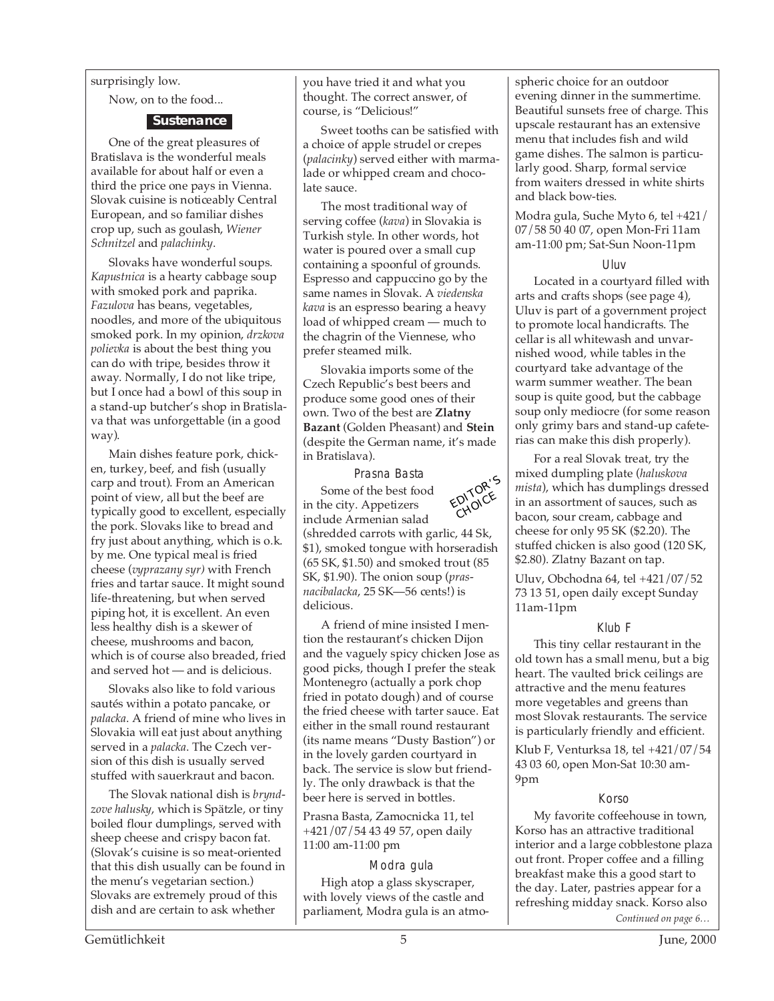#### surprisingly low.

Now, on to the food...

#### **Sustenance**

One of the great pleasures of Bratislava is the wonderful meals available for about half or even a third the price one pays in Vienna. Slovak cuisine is noticeably Central European, and so familiar dishes crop up, such as goulash, *Wiener Schnitzel* and *palachinky*.

Slovaks have wonderful soups. *Kapustnica* is a hearty cabbage soup with smoked pork and paprika. *Fazulova* has beans, vegetables, noodles, and more of the ubiquitous smoked pork. In my opinion, *drzkova polievka* is about the best thing you can do with tripe, besides throw it away. Normally, I do not like tripe, but I once had a bowl of this soup in a stand-up butcher's shop in Bratislava that was unforgettable (in a good way).

Main dishes feature pork, chicken, turkey, beef, and fish (usually carp and trout). From an American point of view, all but the beef are typically good to excellent, especially the pork. Slovaks like to bread and fry just about anything, which is o.k. by me. One typical meal is fried cheese (*vyprazany syr)* with French fries and tartar sauce. It might sound life-threatening, but when served piping hot, it is excellent. An even less healthy dish is a skewer of cheese, mushrooms and bacon, which is of course also breaded, fried and served hot — and is delicious.

Slovaks also like to fold various sautés within a potato pancake, or *palacka*. A friend of mine who lives in Slovakia will eat just about anything served in a *palacka*. The Czech version of this dish is usually served stuffed with sauerkraut and bacon.

The Slovak national dish is *bryndzove halusky*, which is Spätzle, or tiny boiled flour dumplings, served with sheep cheese and crispy bacon fat. (Slovak's cuisine is so meat-oriented that this dish usually can be found in the menu's vegetarian section.) Slovaks are extremely proud of this dish and are certain to ask whether

you have tried it and what you thought. The correct answer, of course, is "Delicious!"

Sweet tooths can be satisfied with a choice of apple strudel or crepes (*palacinky*) served either with marmalade or whipped cream and chocolate sauce.

The most traditional way of serving coffee (*kava*) in Slovakia is Turkish style. In other words, hot water is poured over a small cup containing a spoonful of grounds. Espresso and cappuccino go by the same names in Slovak. A *viedenska kava* is an espresso bearing a heavy load of whipped cream — much to the chagrin of the Viennese, who prefer steamed milk.

Slovakia imports some of the Czech Republic's best beers and produce some good ones of their own. Two of the best are **Zlatny Bazant** (Golden Pheasant) and **Stein** (despite the German name, it's made in Bratislava).

Prasna Basta



in the city. Appetizers include Armenian salad (shredded carrots with garlic, 44 Sk, \$1), smoked tongue with horseradish (65 SK, \$1.50) and smoked trout (85 SK, \$1.90). The onion soup (*prasnacibalacka*, 25 SK—56 cents!) is delicious.

A friend of mine insisted I mention the restaurant's chicken Dijon and the vaguely spicy chicken Jose as good picks, though I prefer the steak Montenegro (actually a pork chop fried in potato dough) and of course the fried cheese with tarter sauce. Eat either in the small round restaurant (its name means "Dusty Bastion") or in the lovely garden courtyard in back. The service is slow but friendly. The only drawback is that the beer here is served in bottles.

Prasna Basta, Zamocnicka 11, tel +421/07/54 43 49 57, open daily 11:00 am-11:00 pm

#### Modra gula

High atop a glass skyscraper, with lovely views of the castle and parliament, Modra gula is an atmospheric choice for an outdoor evening dinner in the summertime. Beautiful sunsets free of charge. This upscale restaurant has an extensive menu that includes fish and wild game dishes. The salmon is particularly good. Sharp, formal service from waiters dressed in white shirts and black bow-ties.

Modra gula, Suche Myto 6, tel +421/ 07/58 50 40 07, open Mon-Fri 11am am-11:00 pm; Sat-Sun Noon-11pm

#### Uluv

Located in a courtyard filled with arts and crafts shops (see page 4), Uluv is part of a government project to promote local handicrafts. The cellar is all whitewash and unvarnished wood, while tables in the courtyard take advantage of the warm summer weather. The bean soup is quite good, but the cabbage soup only mediocre (for some reason only grimy bars and stand-up cafeterias can make this dish properly).

For a real Slovak treat, try the mixed dumpling plate (*haluskova mista*), which has dumplings dressed in an assortment of sauces, such as bacon, sour cream, cabbage and cheese for only 95 SK (\$2.20). The stuffed chicken is also good (120 SK, \$2.80). Zlatny Bazant on tap.

Uluv, Obchodna 64, tel +421/07/52 73 13 51, open daily except Sunday 11am-11pm

#### Klub F

This tiny cellar restaurant in the old town has a small menu, but a big heart. The vaulted brick ceilings are attractive and the menu features more vegetables and greens than most Slovak restaurants. The service is particularly friendly and efficient.

Klub F, Venturksa 18, tel +421/07/54 43 03 60, open Mon-Sat 10:30 am-9pm

#### Korso

My favorite coffeehouse in town, Korso has an attractive traditional interior and a large cobblestone plaza out front. Proper coffee and a filling breakfast make this a good start to the day. Later, pastries appear for a refreshing midday snack. Korso also

*Continued on page 6…*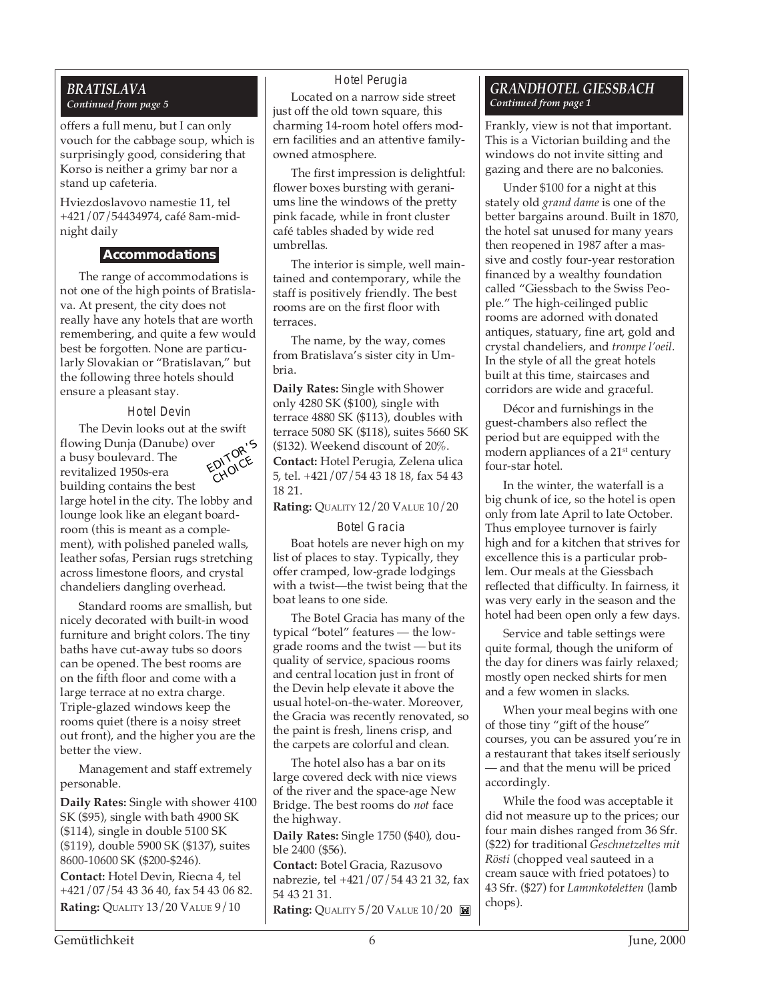#### *BRATISLAVA Continued from page 5*

offers a full menu, but I can only vouch for the cabbage soup, which is surprisingly good, considering that Korso is neither a grimy bar nor a stand up cafeteria.

Hviezdoslavovo namestie 11, tel +421/07/54434974, café 8am-midnight daily

#### **Accommodations**

The range of accommodations is not one of the high points of Bratislava. At present, the city does not really have any hotels that are worth remembering, and quite a few would best be forgotten. None are particularly Slovakian or "Bratislavan," but the following three hotels should ensure a pleasant stay.

#### Hotel Devin

The Devin looks out at the swift flowing Dunja (Danube) over a busy boulevard. The revitalized 1950s-era building contains the best large hotel in the city. The lobby and lounge look like an elegant boardroom (this is meant as a complement), with polished paneled walls, leather sofas, Persian rugs stretching across limestone floors, and crystal chandeliers dangling overhead. EDITOR'<sup>S</sup> CHOICE

Standard rooms are smallish, but nicely decorated with built-in wood furniture and bright colors. The tiny baths have cut-away tubs so doors can be opened. The best rooms are on the fifth floor and come with a large terrace at no extra charge. Triple-glazed windows keep the rooms quiet (there is a noisy street out front), and the higher you are the better the view.

Management and staff extremely personable.

**Daily Rates:** Single with shower 4100 SK (\$95), single with bath 4900 SK (\$114), single in double 5100 SK (\$119), double 5900 SK (\$137), suites 8600-10600 SK (\$200-\$246).

**Contact:** Hotel Devin, Riecna 4, tel +421/07/54 43 36 40, fax 54 43 06 82. **Rating: QUALITY 13/20 VALUE 9/10** 

#### Hotel Perugia

Located on a narrow side street just off the old town square, this charming 14-room hotel offers modern facilities and an attentive familyowned atmosphere.

The first impression is delightful: flower boxes bursting with geraniums line the windows of the pretty pink facade, while in front cluster café tables shaded by wide red umbrellas.

The interior is simple, well maintained and contemporary, while the staff is positively friendly. The best rooms are on the first floor with terraces.

The name, by the way, comes from Bratislava's sister city in Umbria.

**Daily Rates:** Single with Shower only 4280 SK (\$100), single with terrace 4880 SK (\$113), doubles with terrace 5080 SK (\$118), suites 5660 SK (\$132). Weekend discount of 20%. **Contact:** Hotel Perugia, Zelena ulica 5, tel. +421/07/54 43 18 18, fax 54 43 18 21.

#### **Rating:** QUALITY 12/20 VALUE 10/20

#### Botel Gracia

Boat hotels are never high on my list of places to stay. Typically, they offer cramped, low-grade lodgings with a twist—the twist being that the boat leans to one side.

The Botel Gracia has many of the typical "botel" features — the lowgrade rooms and the twist — but its quality of service, spacious rooms and central location just in front of the Devin help elevate it above the usual hotel-on-the-water. Moreover, the Gracia was recently renovated, so the paint is fresh, linens crisp, and the carpets are colorful and clean.

The hotel also has a bar on its large covered deck with nice views of the river and the space-age New Bridge. The best rooms do *not* face the highway.

**Daily Rates:** Single 1750 (\$40), double 2400 (\$56).

**Contact:** Botel Gracia, Razusovo nabrezie, tel +421/07/54 43 21 32, fax 54 43 21 31. **Rating:** QUALITY 5/20 VALUE 10/20

#### *GRANDHOTEL GIESSBACH Continued from page 1*

Frankly, view is not that important. This is a Victorian building and the windows do not invite sitting and gazing and there are no balconies.

Under \$100 for a night at this stately old *grand dame* is one of the better bargains around. Built in 1870, the hotel sat unused for many years then reopened in 1987 after a massive and costly four-year restoration financed by a wealthy foundation called "Giessbach to the Swiss People." The high-ceilinged public rooms are adorned with donated antiques, statuary, fine art, gold and crystal chandeliers, and *trompe l'oeil*. In the style of all the great hotels built at this time, staircases and corridors are wide and graceful.

Décor and furnishings in the guest-chambers also reflect the period but are equipped with the modern appliances of a 21<sup>st</sup> century four-star hotel.

In the winter, the waterfall is a big chunk of ice, so the hotel is open only from late April to late October. Thus employee turnover is fairly high and for a kitchen that strives for excellence this is a particular problem. Our meals at the Giessbach reflected that difficulty. In fairness, it was very early in the season and the hotel had been open only a few days.

Service and table settings were quite formal, though the uniform of the day for diners was fairly relaxed; mostly open necked shirts for men and a few women in slacks.

When your meal begins with one of those tiny "gift of the house" courses, you can be assured you're in a restaurant that takes itself seriously — and that the menu will be priced accordingly.

While the food was acceptable it did not measure up to the prices; our four main dishes ranged from 36 Sfr. (\$22) for traditional *Geschnetzeltes mit Rösti* (chopped veal sauteed in a cream sauce with fried potatoes) to 43 Sfr. (\$27) for *Lammkoteletten* (lamb chops).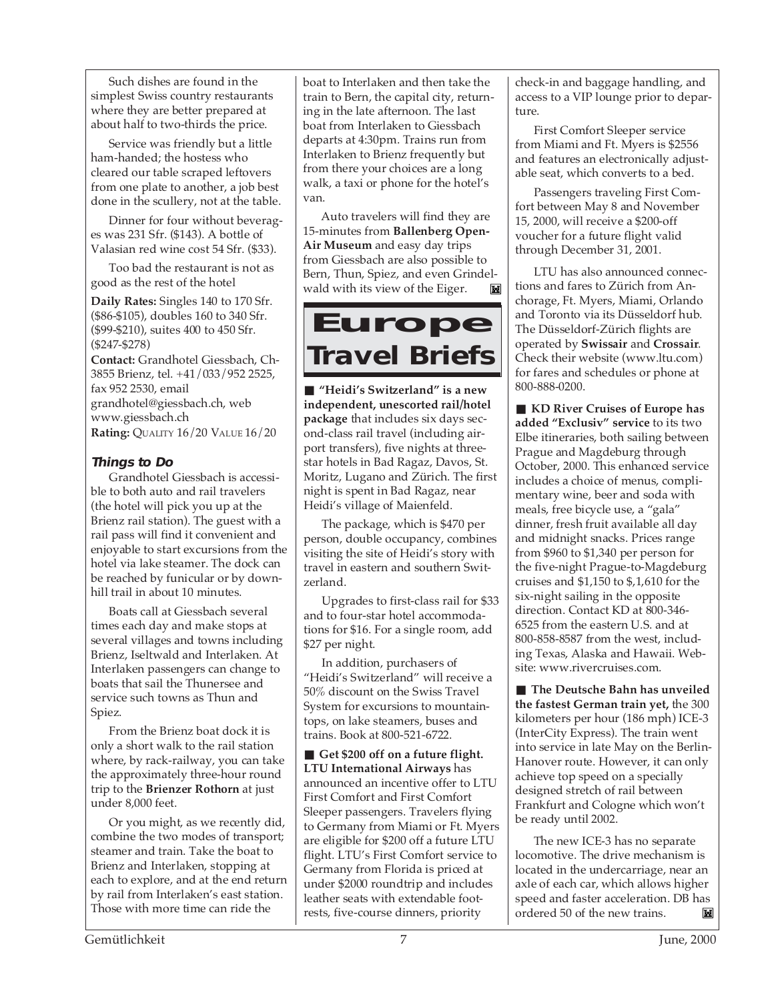Such dishes are found in the simplest Swiss country restaurants where they are better prepared at about half to two-thirds the price.

Service was friendly but a little ham-handed; the hostess who cleared our table scraped leftovers from one plate to another, a job best done in the scullery, not at the table.

Dinner for four without beverages was 231 Sfr. (\$143). A bottle of Valasian red wine cost 54 Sfr. (\$33).

Too bad the restaurant is not as good as the rest of the hotel

**Daily Rates:** Singles 140 to 170 Sfr. (\$86-\$105), doubles 160 to 340 Sfr. (\$99-\$210), suites 400 to 450 Sfr. (\$247-\$278)

**Contact:** Grandhotel Giessbach, Ch-3855 Brienz, tel. +41/033/952 2525, fax 952 2530, email grandhotel@giessbach.ch, web www.giessbach.ch **Rating:** QUALITY 16/20 VALUE 16/20

#### **Things to Do**

Grandhotel Giessbach is accessible to both auto and rail travelers (the hotel will pick you up at the Brienz rail station). The guest with a rail pass will find it convenient and enjoyable to start excursions from the hotel via lake steamer. The dock can be reached by funicular or by downhill trail in about 10 minutes.

Boats call at Giessbach several times each day and make stops at several villages and towns including Brienz, Iseltwald and Interlaken. At Interlaken passengers can change to boats that sail the Thunersee and service such towns as Thun and Spiez.

From the Brienz boat dock it is only a short walk to the rail station where, by rack-railway, you can take the approximately three-hour round trip to the **Brienzer Rothorn** at just under 8,000 feet.

Or you might, as we recently did, combine the two modes of transport; steamer and train. Take the boat to Brienz and Interlaken, stopping at each to explore, and at the end return by rail from Interlaken's east station. Those with more time can ride the

boat to Interlaken and then take the train to Bern, the capital city, returning in the late afternoon. The last boat from Interlaken to Giessbach departs at 4:30pm. Trains run from Interlaken to Brienz frequently but from there your choices are a long walk, a taxi or phone for the hotel's van.

Auto travelers will find they are 15-minutes from **Ballenberg Open-Air Museum** and easy day trips from Giessbach are also possible to Bern, Thun, Spiez, and even Grindelwald with its view of the Eiger.



■ **"Heidi's Switzerland" is a new independent, unescorted rail/hotel package** that includes six days second-class rail travel (including airport transfers), five nights at threestar hotels in Bad Ragaz, Davos, St. Moritz, Lugano and Zürich. The first night is spent in Bad Ragaz, near Heidi's village of Maienfeld.

The package, which is \$470 per person, double occupancy, combines visiting the site of Heidi's story with travel in eastern and southern Switzerland.

Upgrades to first-class rail for \$33 and to four-star hotel accommodations for \$16. For a single room, add \$27 per night.

In addition, purchasers of "Heidi's Switzerland" will receive a 50% discount on the Swiss Travel System for excursions to mountaintops, on lake steamers, buses and trains. Book at 800-521-6722.

■ Get \$200 off on a future flight. **LTU International Airways** has announced an incentive offer to LTU First Comfort and First Comfort Sleeper passengers. Travelers flying to Germany from Miami or Ft. Myers are eligible for \$200 off a future LTU flight. LTU's First Comfort service to Germany from Florida is priced at under \$2000 roundtrip and includes leather seats with extendable footrests, five-course dinners, priority

check-in and baggage handling, and access to a VIP lounge prior to departure.

First Comfort Sleeper service from Miami and Ft. Myers is \$2556 and features an electronically adjustable seat, which converts to a bed.

Passengers traveling First Comfort between May 8 and November 15, 2000, will receive a \$200-off voucher for a future flight valid through December 31, 2001.

LTU has also announced connections and fares to Zürich from Anchorage, Ft. Myers, Miami, Orlando and Toronto via its Düsseldorf hub. The Düsseldorf-Zürich flights are operated by **Swissair** and **Crossair**. Check their website (www.ltu.com) for fares and schedules or phone at 800-888-0200.

■ **KD River Cruises of Europe has added "Exclusiv" service** to its two Elbe itineraries, both sailing between Prague and Magdeburg through October, 2000. This enhanced service includes a choice of menus, complimentary wine, beer and soda with meals, free bicycle use, a "gala" dinner, fresh fruit available all day and midnight snacks. Prices range from \$960 to \$1,340 per person for the five-night Prague-to-Magdeburg cruises and \$1,150 to \$,1,610 for the six-night sailing in the opposite direction. Contact KD at 800-346- 6525 from the eastern U.S. and at 800-858-8587 from the west, including Texas, Alaska and Hawaii. Website: www.rivercruises.com.

■ **The Deutsche Bahn has unveiled the fastest German train yet,** the 300 kilometers per hour (186 mph) ICE-3 (InterCity Express). The train went into service in late May on the Berlin-Hanover route. However, it can only achieve top speed on a specially designed stretch of rail between Frankfurt and Cologne which won't be ready until 2002.

The new ICE-3 has no separate locomotive. The drive mechanism is located in the undercarriage, near an axle of each car, which allows higher speed and faster acceleration. DB has ordered 50 of the new trains.M